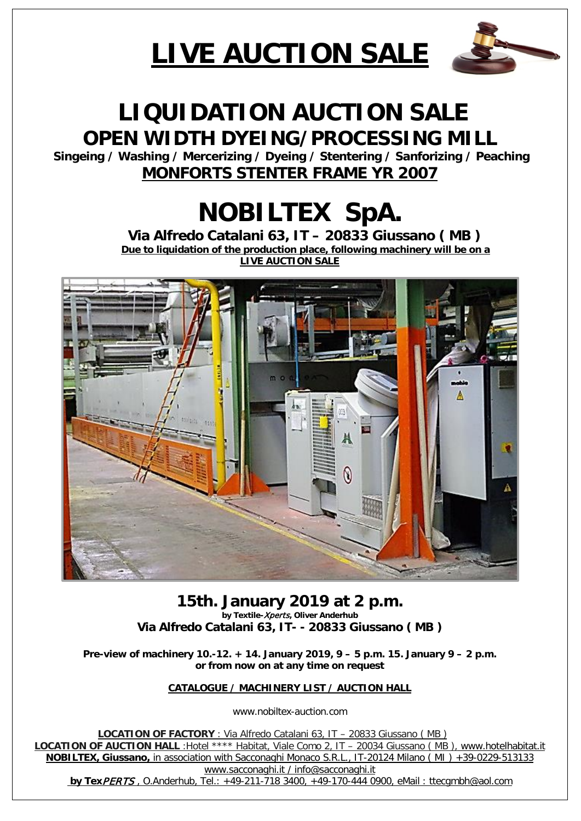# **LIVE AUCTION SALE**



# **LIQUIDATION AUCTION SALE OPEN WIDTH DYEING/PROCESSING MILL**

**Singeing / Washing / Mercerizing / Dyeing / Stentering / Sanforizing / Peaching MONFORTS STENTER FRAME YR 2007**

# **NOBILTEX SpA.**<br>Via Alfredo Catalani 63, IT – 20833 Giussano (MB)<br>Due to liquidation of the production place, following machinery will be on a

**LIVE AUCTION SALE**



**15th. January 2019 at 2 p.m. by Textile-**Xperts**, Oliver Anderhub Via Alfredo Catalani 63, IT- - 20833 Giussano ( MB )**

**Pre-view of machinery 10.-12. + 14. January 2019, 9 – 5 p.m. 15. January 9 – 2 p.m. or from now on at any time on request**

**CATALOGUE / MACHINERY LIST / AUCTION HALL**

www.nobiltex-auction.com

 **LOCATION OF FACTORY** : Via Alfredo Catalani 63, IT – 20833 Giussano ( MB ) **LOCATION OF AUCTION HALL** :Hotel \*\*\*\* Habitat, Viale Como 2, IT – 20034 Giussano ( MB ), [www.hotelhabitat.it](http://www.hotelhabitat.it/) **NOBILTEX, Giussano,** in association with Sacconaghi Monaco S.R.L., IT-20124 Milano ( MI ) +39-0229-513133 [www.sacconaghi.it](http://www.sacconaghi.it/) / info@sacconaghi.it

**by Tex**PERTS , O.Anderhub, Tel.: +49-211-718 3400, +49-170-444 0900, eMail : [ttecgmbh@aol.com](mailto:ttecgmbh@aol.com)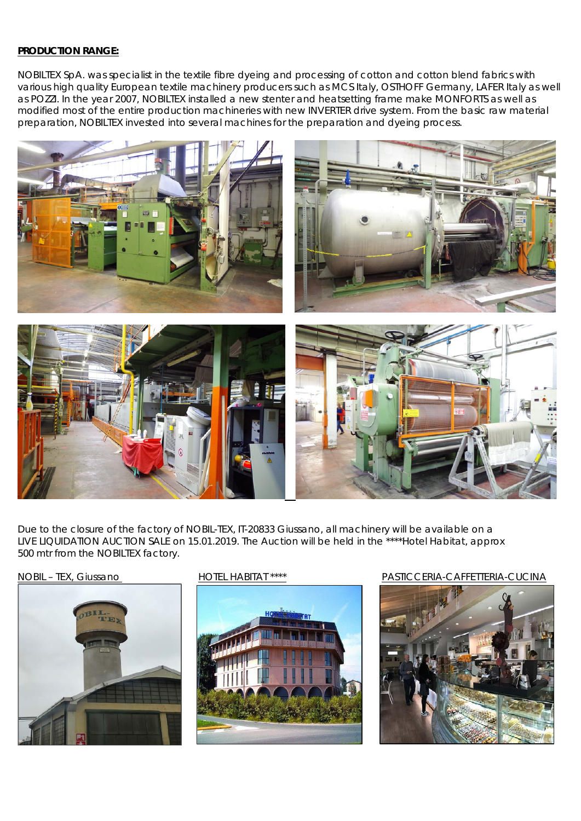#### **PRODUCTION RANGE:**

NOBILTEX SpA. was specialist in the textile fibre dyeing and processing of cotton and cotton blend fabrics with various high quality European textile machinery producers such as MCS Italy, OSTHOFF Germany, LAFER Italy as well as POZZI. In the year 2007, NOBILTEX installed a new stenter and heatsetting frame make MONFORTS as well as modified most of the entire production machineries with new INVERTER drive system. From the basic raw material preparation, NOBILTEX invested into several machines for the preparation and dyeing process.



Due to the closure of the factory of NOBIL-TEX, IT-20833 Giussano, all machinery will be available on a LIVE LIQUIDATION AUCTION SALE on 15.01.2019. The Auction will be held in the \*\*\*\*Hotel Habitat, approx 500 mtr from the NOBILTEX factory.





#### NOBIL – TEX, Giussano HOTEL HABITAT \*\*\*\* PASTICCERIA-CAFFETTERIA-CUCINA

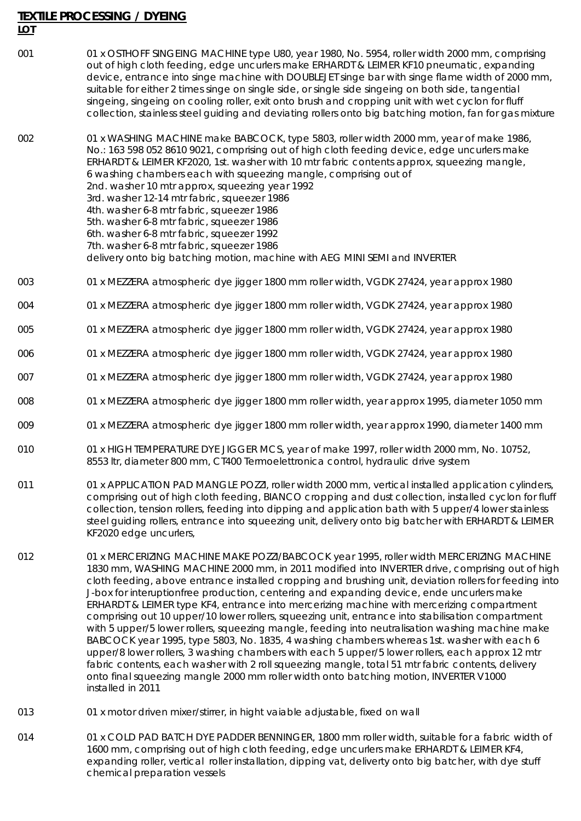### **TEXTILE PROCESSING / DYEING**

#### **LOT**

001 001 x OSTHOFF SINGEING MACHINE type U80, year 1980, No. 5954, roller width 2000 mm, comprising out of high cloth feeding, edge uncurlers make ERHARDT & LEIMER KF10 pneumatic, expanding device, entrance into singe machine with DOUBLEJET singe bar with singe flame width of 2000 mm, suitable for either 2 times singe on single side, or single side singeing on both side, tangential singeing, singeing on cooling roller, exit onto brush and cropping unit with wet cyclon for fluff collection, stainless steel guiding and deviating rollers onto big batching motion, fan for gas mixture

002 01 x WASHING MACHINE make BABCOCK, type 5803, roller width 2000 mm, year of make 1986, No.: 163 598 052 8610 9021, comprising out of high cloth feeding device, edge uncurlers make ERHARDT & LEIMER KF2020, 1st. washer with 10 mtr fabric contents approx, squeezing mangle, 6 washing chambers each with squeezing mangle, comprising out of 2nd. washer 10 mtr approx, squeezing year 1992 3rd. washer 12-14 mtr fabric, squeezer 1986 4th. washer 6-8 mtr fabric, squeezer 1986 5th. washer 6-8 mtr fabric, squeezer 1986 6th. washer 6-8 mtr fabric, squeezer 1992 7th. washer 6-8 mtr fabric, squeezer 1986 delivery onto big batching motion, machine with AEG MINI SEMI and INVERTER

- 003 01 x MEZZERA atmospheric dye jigger 1800 mm roller width, VGDK 27424, year approx 1980
- 004 01 x MEZZERA atmospheric dye jigger 1800 mm roller width, VGDK 27424, year approx 1980
- 005 01 x MEZZERA atmospheric dye jigger 1800 mm roller width, VGDK 27424, year approx 1980
- 006 01 x MEZZERA atmospheric dye jigger 1800 mm roller width, VGDK 27424, year approx 1980
- 007 01 x MEZZERA atmospheric dye jigger 1800 mm roller width, VGDK 27424, year approx 1980
- 008 01 x MEZZERA atmospheric dye jigger 1800 mm roller width, year approx 1995, diameter 1050 mm
- 009 01 x MEZZERA atmospheric dye jigger 1800 mm roller width, year approx 1990, diameter 1400 mm
- 010 01 01 x HIGH TEMPERATURE DYE JIGGER MCS, year of make 1997, roller width 2000 mm, No. 10752, 8553 ltr, diameter 800 mm, CT400 Termoelettronica control, hydraulic drive system
- 011 01 x APPLICATION PAD MANGLE POZZI, roller width 2000 mm, vertical installed application cylinders, comprising out of high cloth feeding, BIANCO cropping and dust collection, installed cyclon for fluff collection, tension rollers, feeding into dipping and application bath with 5 upper/4 lower stainless steel guiding rollers, entrance into squeezing unit, delivery onto big batcher with ERHARDT & LEIMER KF2020 edge uncurlers,
- 012 01 x MERCERIZING MACHINE MAKE POZZI/BABCOCK year 1995, roller width MERCERIZING MACHINE 1830 mm, WASHING MACHINE 2000 mm, in 2011 modified into INVERTER drive, comprising out of high cloth feeding, above entrance installed cropping and brushing unit, deviation rollers for feeding into J-box for interuptionfree production, centering and expanding device, ende uncurlers make ERHARDT & LEIMER type KF4, entrance into mercerizing machine with mercerizing compartment comprising out 10 upper/10 lower rollers, squeezing unit, entrance into stabilisation compartment with 5 upper/5 lower rollers, squeezing mangle, feeding into neutralisation washing machine make BABCOCK year 1995, type 5803, No. 1835, 4 washing chambers whereas 1st. washer with each 6 upper/8 lower rollers, 3 washing chambers with each 5 upper/5 lower rollers, each approx 12 mtr fabric contents, each washer with 2 roll squeezing mangle, total 51 mtr fabric contents, delivery onto final squeezing mangle 2000 mm roller width onto batching motion, INVERTER V1000 installed in 2011
- 013 01 x motor driven mixer/stirrer, in hight vaiable adjustable, fixed on wall
- 014 01 x COLD PAD BATCH DYE PADDER BENNINGER, 1800 mm roller width, suitable for a fabric width of 1600 mm, comprising out of high cloth feeding, edge uncurlers make ERHARDT & LEIMER KF4, expanding roller, vertical roller installation, dipping vat, deliverty onto big batcher, with dye stuff chemical preparation vessels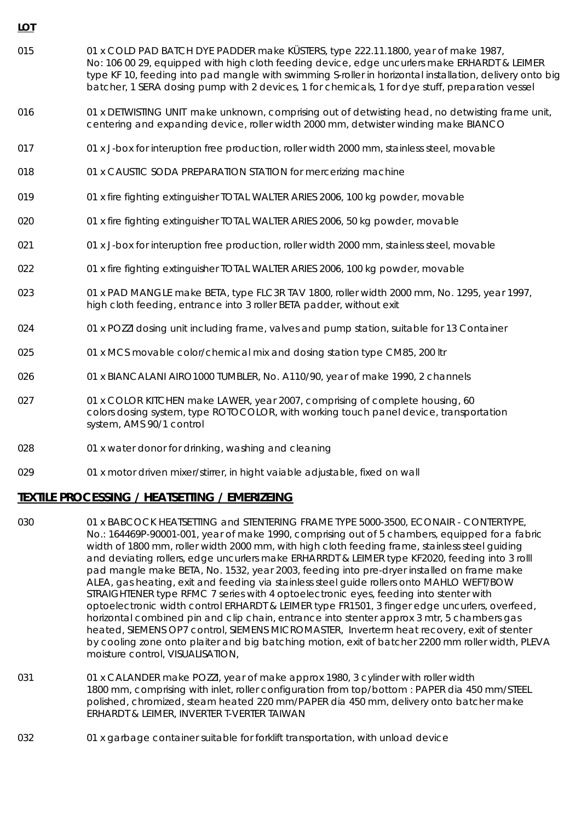- 015 01 x COLD PAD BATCH DYE PADDER make KÜSTERS, type 222.11.1800, year of make 1987, No: 106 00 29, equipped with high cloth feeding device, edge uncurlers make ERHARDT & LEIMER type KF 10, feeding into pad mangle with swimming S-roller in horizontal installation, delivery onto big batcher, 1 SERA dosing pump with 2 devices, 1 for chemicals, 1 for dye stuff, preparation vessel
- 016 01 x DETWISTING UNIT make unknown, comprising out of detwisting head, no detwisting frame unit, centering and expanding device, roller width 2000 mm, detwister winding make BIANCO
- 017 01 x J-box for interuption free production, roller width 2000 mm, stainless steel, movable
- 018 01 x CAUSTIC SODA PREPARATION STATION for mercerizing machine

**LOT**

- 019 01 x fire fighting extinguisher TOTAL WALTER ARIES 2006, 100 kg powder, movable
- 020 01 x fire fighting extinguisher TOTAL WALTER ARIES 2006, 50 kg powder, movable
- 021 021 01 x J-box for interuption free production, roller width 2000 mm, stainless steel, movable
- 022 01 x fire fighting extinguisher TOTAL WALTER ARIES 2006, 100 kg powder, movable
- 023 01 x PAD MANGLE make BETA, type FLC3R TAV 1800, roller width 2000 mm, No. 1295, year 1997, high cloth feeding, entrance into 3 roller BETA padder, without exit
- 024 01 x POZZI dosing unit including frame, valves and pump station, suitable for 13 Container
- 025 025 01 x MCS movable color/chemical mix and dosing station type CM85, 200 ltr
- 026 01 x BIANCALANI AIRO1000 TUMBLER, No. A110/90, year of make 1990, 2 channels
- 027 01 x COLOR KITCHEN make LAWER, year 2007, comprising of complete housing, 60 colors dosing system, type ROTOCOLOR, with working touch panel device, transportation system, AMS 90/1 control
- 028 01 x water donor for drinking, washing and cleaning
- 029 01 x motor driven mixer/stirrer, in hight vaiable adjustable, fixed on wall

#### **TEXTILE PROCESSING / HEATSETTING / EMERIZEING**

- 030 01 x BABCOCK HEATSETTING and STENTERING FRAME TYPE 5000-3500, ECONAIR CONTERTYPE, No.: 164469P-90001-001, year of make 1990, comprising out of 5 chambers, equipped for a fabric width of 1800 mm, roller width 2000 mm, with high cloth feeding frame, stainless steel guiding and deviating rollers, edge uncurlers make ERHARRDT & LEIMER type KF2020, feeding into 3 rolll pad mangle make BETA, No. 1532, year 2003, feeding into pre-dryer installed on frame make ALEA, gas heating, exit and feeding via stainless steel guide rollers onto MAHLO WEFT/BOW STRAIGHTENER type RFMC 7 series with 4 optoelectronic eyes, feeding into stenter with optoelectronic width control ERHARDT & LEIMER type FR1501, 3 finger edge uncurlers, overfeed, horizontal combined pin and clip chain, entrance into stenter approx 3 mtr, 5 chambers gas heated, SIEMENS OP7 control, SIEMENS MICROMASTER, Inverterm heat recovery, exit of stenter by cooling zone onto plaiter and big batching motion, exit of batcher 2200 mm roller width, PLEVA moisture control, VISUALISATION,
- 031 031 01 x CALANDER make POZZI, year of make approx 1980, 3 cylinder with roller width 1800 mm, comprising with inlet, roller configuration from top/bottom : PAPER dia 450 mm/STEEL polished, chromized, steam heated 220 mm/PAPER dia 450 mm, delivery onto batcher make ERHARDT & LEIMER, INVERTER T-VERTER TAIWAN
- 032 01 x garbage container suitable for forklift transportation, with unload device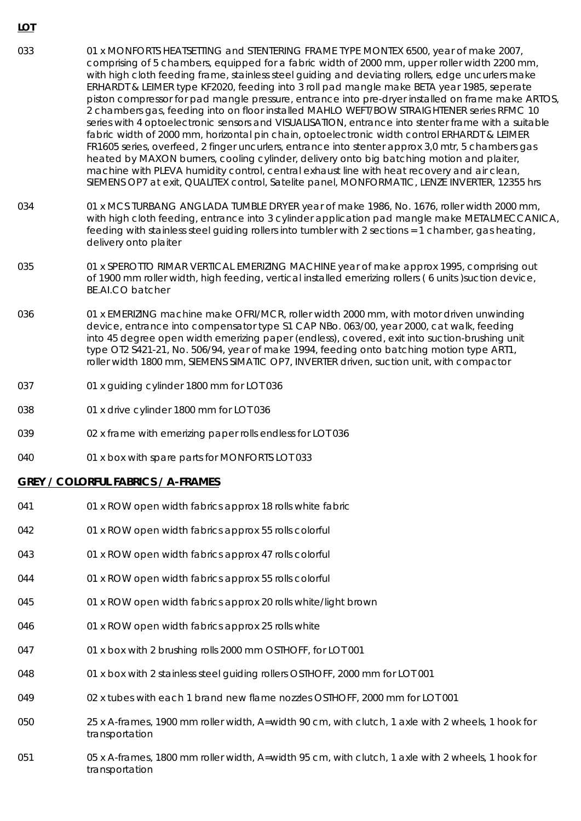- 033 033 01 x MONFORTS HEATSETTING and STENTERING FRAME TYPE MONTEX 6500, year of make 2007, comprising of 5 chambers, equipped for a fabric width of 2000 mm, upper roller width 2200 mm, with high cloth feeding frame, stainless steel guiding and deviating rollers, edge uncurlers make ERHARDT & LEIMER type KF2020, feeding into 3 roll pad mangle make BETA year 1985, seperate piston compressor for pad mangle pressure, entrance into pre-dryer installed on frame make ARTOS, 2 chambers gas, feeding into on floor installed MAHLO WEFT/BOW STRAIGHTENER series RFMC 10 series with 4 optoelectronic sensors and VISUALISATION, entrance into stenter frame with a suitable fabric width of 2000 mm, horizontal pin chain, optoelectronic width control ERHARDT & LEIMER FR1605 series, overfeed, 2 finger uncurlers, entrance into stenter approx 3,0 mtr, 5 chambers gas heated by MAXON burners, cooling cylinder, delivery onto big batching motion and plaiter, machine with PLEVA humidity control, central exhaust line with heat recovery and air clean, SIEMENS OP7 at exit, QUALITEX control, Satelite panel, MONFORMATIC, LENZE INVERTER, 12355 hrs
- 034 01 x MCS TURBANG ANGLADA TUMBLE DRYER year of make 1986, No. 1676, roller width 2000 mm, with high cloth feeding, entrance into 3 cylinder application pad mangle make METALMECCANICA, feeding with stainless steel guiding rollers into tumbler with 2 sections = 1 chamber, gas heating, delivery onto plaiter
- 035 01 x SPEROTTO RIMAR VERTICAL EMERIZING MACHINE year of make approx 1995, comprising out of 1900 mm roller width, high feeding, vertical installed emerizing rollers ( 6 units )suction device, BE.AI.CO batcher
- 036 01 x EMERIZING machine make OFRI/MCR, roller width 2000 mm, with motor driven unwinding device, entrance into compensator type S1 CAP NBo. 063/00, year 2000, cat walk, feeding into 45 degree open width emerizing paper (endless), covered, exit into suction-brushing unit type OT2 S421-21, No. 506/94, year of make 1994, feeding onto batching motion type ART1, roller width 1800 mm, SIEMENS SIMATIC OP7, INVERTER driven, suction unit, with compactor
- 037 01 x guiding cylinder 1800 mm for LOT 036
- 038 01 x drive cylinder 1800 mm for LOT 036
- 039 02 x frame with emerizing paper rolls endless for LOT 036
- 040 01 x box with spare parts for MONFORTS LOT 033

#### **GREY / COLORFUL FABRICS / A-FRAMES**

- 041 01 x ROW open width fabrics approx 18 rolls white fabric
- 042 01 x ROW open width fabrics approx 55 rolls colorful
- 043 01 x ROW open width fabrics approx 47 rolls colorful
- 044 01 x ROW open width fabrics approx 55 rolls colorful
- 045 01 x ROW open width fabrics approx 20 rolls white/light brown
- 046 01 x ROW open width fabrics approx 25 rolls white
- 047 01 x box with 2 brushing rolls 2000 mm OSTHOFF, for LOT 001
- 048 01 x box with 2 stainless steel guiding rollers OSTHOFF, 2000 mm for LOT 001
- 049 02 x tubes with each 1 brand new flame nozzles OSTHOFF, 2000 mm for LOT 001
- 050 25 x A-frames, 1900 mm roller width, A=width 90 cm, with clutch, 1 axle with 2 wheels, 1 hook for transportation
- 051 05 x A-frames, 1800 mm roller width, A=width 95 cm, with clutch, 1 axle with 2 wheels, 1 hook for transportation

**LOT**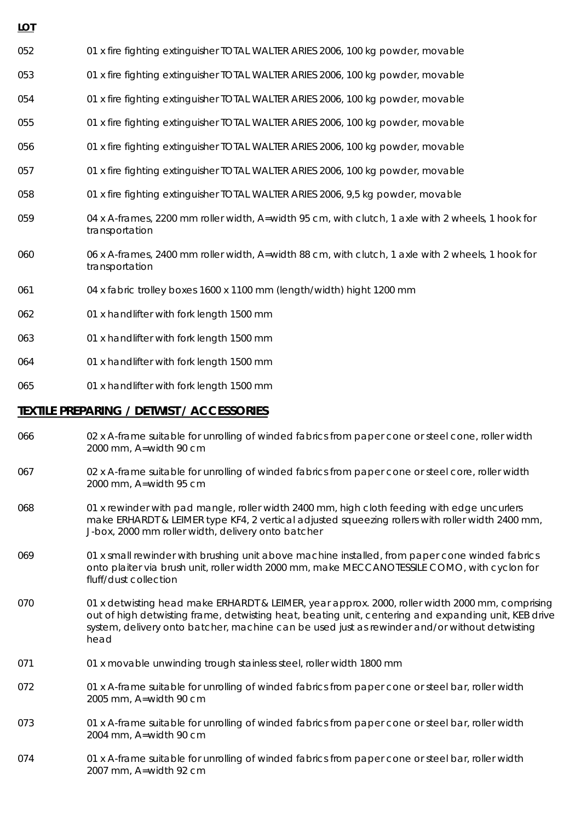052 01 x fire fighting extinguisher TOTAL WALTER ARIES 2006, 100 kg powder, movable

- 053 01 x fire fighting extinguisher TOTAL WALTER ARIES 2006, 100 kg powder, movable
- 054 01 x fire fighting extinguisher TOTAL WALTER ARIES 2006, 100 kg powder, movable
- 055 01 x fire fighting extinguisher TOTAL WALTER ARIES 2006, 100 kg powder, movable
- 056 01 x fire fighting extinguisher TOTAL WALTER ARIES 2006, 100 kg powder, movable
- 057 01 x fire fighting extinguisher TOTAL WALTER ARIES 2006, 100 kg powder, movable
- 058 01 x fire fighting extinguisher TOTAL WALTER ARIES 2006, 9,5 kg powder, movable
- 059 04 x A-frames, 2200 mm roller width, A=width 95 cm, with clutch, 1 axle with 2 wheels, 1 hook for transportation
- 060 06 x A-frames, 2400 mm roller width, A=width 88 cm, with clutch, 1 axle with 2 wheels, 1 hook for transportation
- 061 04 x fabric trolley boxes 1600 x 1100 mm (length/width) hight 1200 mm
- 062 01 x handlifter with fork length 1500 mm

**LOT**

- 063 01 x handlifter with fork length 1500 mm
- 064 01 x handlifter with fork length 1500 mm
- 065 01 x handlifter with fork length 1500 mm

#### **TEXTILE PREPARING / DETWIST / ACCESSORIES**

- 066 066 02 x A-frame suitable for unrolling of winded fabrics from paper cone or steel cone, roller width 2000 mm, A=width 90 cm
- 067 02 x A-frame suitable for unrolling of winded fabrics from paper cone or steel core, roller width 2000 mm, A=width 95 cm
- 068 01 x rewinder with pad mangle, roller width 2400 mm, high cloth feeding with edge uncurlers make ERHARDT & LEIMER type KF4, 2 vertical adjusted squeezing rollers with roller width 2400 mm, J-box, 2000 mm roller width, delivery onto batcher
- 069 01 x small rewinder with brushing unit above machine installed, from paper cone winded fabrics onto plaiter via brush unit, roller width 2000 mm, make MECCANOTESSILE COMO, with cyclon for fluff/dust collection
- 070 01 x detwisting head make ERHARDT & LEIMER, year approx. 2000, roller width 2000 mm, comprising out of high detwisting frame, detwisting heat, beating unit, centering and expanding unit, KEB drive system, delivery onto batcher, machine can be used just as rewinder and/or without detwisting head
- 071 01 x movable unwinding trough stainless steel, roller width 1800 mm
- 072 01 x A-frame suitable for unrolling of winded fabrics from paper cone or steel bar, roller width 2005 mm, A=width 90 cm
- 073 01 x A-frame suitable for unrolling of winded fabrics from paper cone or steel bar, roller width 2004 mm, A=width 90 cm
- 074 01 x A-frame suitable for unrolling of winded fabrics from paper cone or steel bar, roller width 2007 mm, A=width 92 cm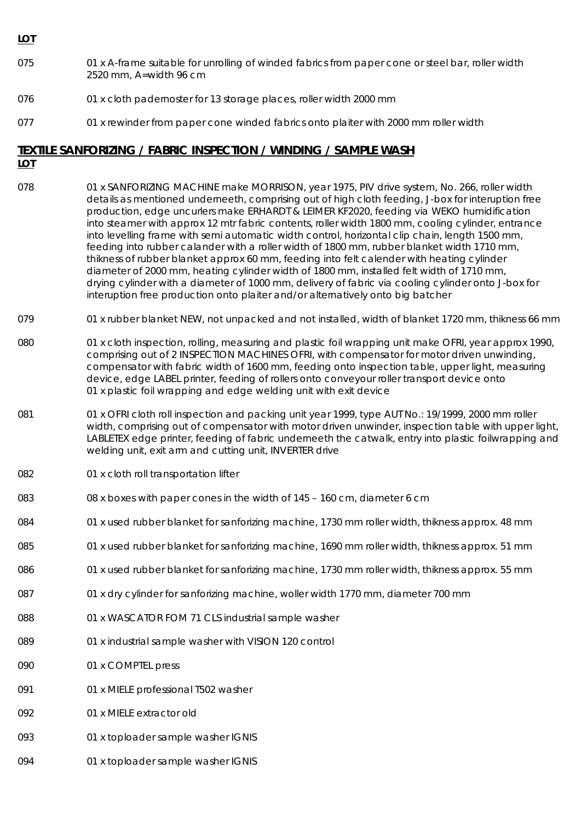#### **LOT**

- 075 01 x A-frame suitable for unrolling of winded fabrics from paper cone or steel bar, roller width 2520 mm, A=width 96 cm
- 076 01 x cloth padernoster for 13 storage places, roller width 2000 mm
- 077 01 x rewinder from paper cone winded fabrics onto plaiter with 2000 mm roller width

#### **TEXTILE SANFORIZING / FABRIC INSPECTION / WINDING / SAMPLE WASH**

#### **LOT**

- 078 01 x SANFORIZING MACHINE make MORRISON, year 1975, PIV drive system, No. 266, roller width details as mentioned underneeth, comprising out of high cloth feeding, J-box for interuption free production, edge uncurlers make ERHARDT & LEIMER KF2020, feeding via WEKO humidification into steamer with approx 12 mtr fabric contents, roller width 1800 mm, cooling cylinder, entrance into levelling frame with semi automatic width control, horizontal clip chain, length 1500 mm, feeding into rubber calander with a roller width of 1800 mm, rubber blanket width 1710 mm, thikness of rubber blanket approx 60 mm, feeding into felt calender with heating cylinder diameter of 2000 mm, heating cylinder width of 1800 mm, installed felt width of 1710 mm, drying cylinder with a diameter of 1000 mm, delivery of fabric via cooling cylinder onto J-box for interuption free production onto plaiter and/or alternatively onto big batcher
- 079 01 x rubber blanket NEW, not unpacked and not installed, width of blanket 1720 mm, thikness 66 mm
- 080 01 x cloth inspection, rolling, measuring and plastic foil wrapping unit make OFRI, year approx 1990, comprising out of 2 INSPECTION MACHINES OFRI, with compensator for motor driven unwinding, compensator with fabric width of 1600 mm, feeding onto inspection table, upper light, measuring device, edge LABEL printer, feeding of rollers onto conveyour roller transport device onto 01 x plastic foil wrapping and edge welding unit with exit device
- 081 081 01 x OFRI cloth roll inspection and packing unit year 1999, type AUT No.: 19/1999, 2000 mm roller width, comprising out of compensator with motor driven unwinder, inspection table with upper light, LABLETEX edge printer, feeding of fabric underneeth the catwalk, entry into plastic foilwrapping and welding unit, exit arm and cutting unit, INVERTER drive
- 082 01 x cloth roll transportation lifter
- 083 083 08 x boxes with paper cones in the width of 145 160 cm, diameter 6 cm
- 084 01 x used rubber blanket for sanforizing machine, 1730 mm roller width, thikness approx. 48 mm
- 085 01 x used rubber blanket for sanforizing machine, 1690 mm roller width, thikness approx. 51 mm
- 086 01 x used rubber blanket for sanforizing machine, 1730 mm roller width, thikness approx. 55 mm
- 087 01 x dry cylinder for sanforizing machine, woller width 1770 mm, diameter 700 mm
- 088 01 x WASCATOR FOM 71 CLS industrial sample washer
- 089 01 x industrial sample washer with VISION 120 control
- 090 01 x COMPTEL press
- 091 01 x MIELE professional T502 washer
- 092 01 x MIELE extractor old
- 093 01 x toploader sample washer IGNIS
- 094 01 x toploader sample washer IGNIS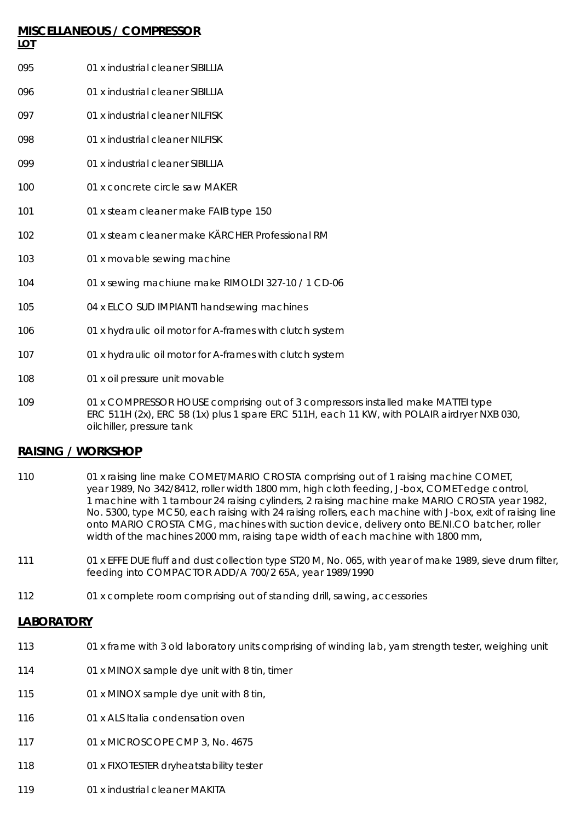## **MISCELLANEOUS / COMPRESSOR LOT** 095 01 x industrial cleaner SIBILLIA 096 01 x industrial cleaner SIBILLIA 097 01 x industrial cleaner NILFISK 098 01 x industrial cleaner NILFISK 099 01 x industrial cleaner SIBILLIA 100 01 x concrete circle saw MAKER 101 01 x steam cleaner make FAIB type 150 102 01 x steam cleaner make KÄRCHER Professional RM 103 01 x movable sewing machine 104 01 x sewing machiune make RIMOLDI 327-10 / 1 CD-06 105 04 x ELCO SUD IMPIANTI handsewing machines 106 01 x hydraulic oil motor for A-frames with clutch system 107 01 x hydraulic oil motor for A-frames with clutch system 108 01 x oil pressure unit movable

109 01 x COMPRESSOR HOUSE comprising out of 3 compressors installed make MATTEI type ERC 511H (2x), ERC 58 (1x) plus 1 spare ERC 511H, each 11 KW, with POLAIR airdryer NXB 030, oilchiller, pressure tank

#### **RAISING / WORKSHOP**

- 110 01 x raising line make COMET/MARIO CROSTA comprising out of 1 raising machine COMET, year 1989, No 342/8412, roller width 1800 mm, high cloth feeding, J-box, COMET edge control, 1 machine with 1 tambour 24 raising cylinders, 2 raising machine make MARIO CROSTA year 1982, No. 5300, type MC50, each raising with 24 raising rollers, each machine with J-box, exit of raising line onto MARIO CROSTA CMG, machines with suction device, delivery onto BE.NI.CO batcher, roller width of the machines 2000 mm, raising tape width of each machine with 1800 mm,
- 111 01 x EFFE DUE fluff and dust collection type ST20 M, No. 065, with year of make 1989, sieve drum filter, feeding into COMPACTOR ADD/A 700/2 65A, year 1989/1990
- 112 01 x complete room comprising out of standing drill, sawing, accessories

#### **LABORATORY**

- 113 01 x frame with 3 old laboratory units comprising of winding lab, yarn strength tester, weighing unit
- 114 01 x MINOX sample dye unit with 8 tin, timer
- 115 01 x MINOX sample dye unit with 8 tin,
- 116 01 x ALS Italia condensation oven
- 117 01 x MICROSCOPE CMP 3, No. 4675
- 118 01 x FIXOTESTER dryheatstability tester
- 119 01 x industrial cleaner MAKITA